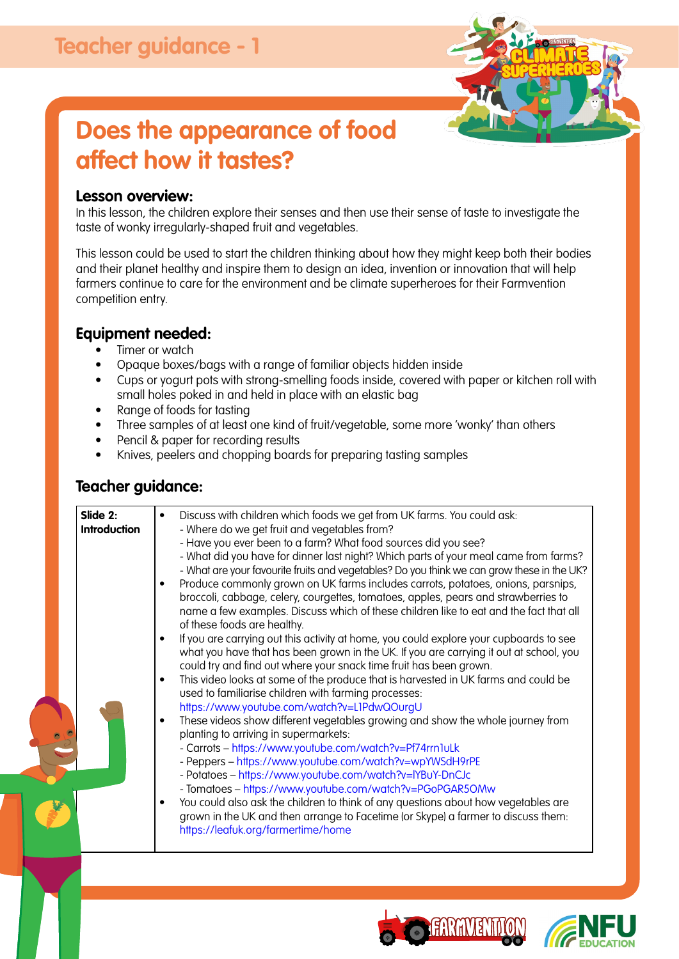

# **Does the appearance of food affect how it tastes?**

#### **Lesson overview:**

In this lesson, the children explore their senses and then use their sense of taste to investigate the taste of wonky irregularly-shaped fruit and vegetables.

This lesson could be used to start the children thinking about how they might keep both their bodies and their planet healthy and inspire them to design an idea, invention or innovation that will help farmers continue to care for the environment and be climate superheroes for their Farmvention competition entry.

### **Equipment needed:**

- Timer or watch
- Opaque boxes/bags with a range of familiar objects hidden inside
- Cups or yogurt pots with strong-smelling foods inside, covered with paper or kitchen roll with small holes poked in and held in place with an elastic bag
- Range of foods for tasting
- Three samples of at least one kind of fruit/vegetable, some more 'wonky' than others
- Pencil & paper for recording results
- Knives, peelers and chopping boards for preparing tasting samples

### **Teacher guidance:**



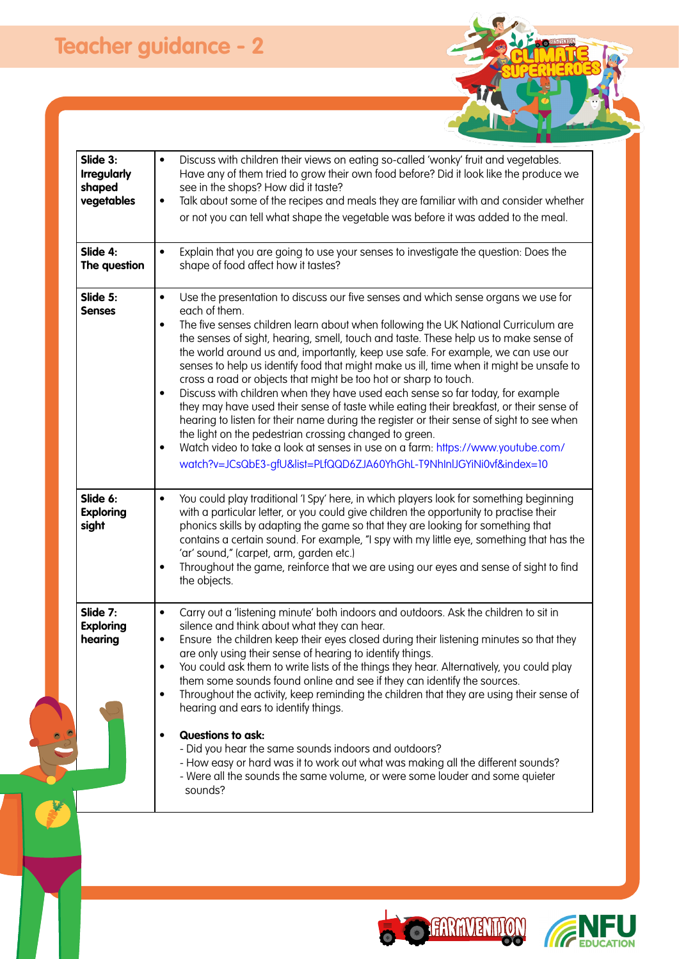| Slide 3:<br><b>Irregularly</b><br>shaped<br>vegetables | Discuss with children their views on eating so-called 'wonky' fruit and vegetables.<br>Have any of them tried to grow their own food before? Did it look like the produce we<br>see in the shops? How did it taste?<br>Talk about some of the recipes and meals they are familiar with and consider whether<br>or not you can tell what shape the vegetable was before it was added to the meal.                                                                                                                                                                                                                                                                                                                                                                                                                                                                                                                                                                                                                                                                                                                                         |  |
|--------------------------------------------------------|------------------------------------------------------------------------------------------------------------------------------------------------------------------------------------------------------------------------------------------------------------------------------------------------------------------------------------------------------------------------------------------------------------------------------------------------------------------------------------------------------------------------------------------------------------------------------------------------------------------------------------------------------------------------------------------------------------------------------------------------------------------------------------------------------------------------------------------------------------------------------------------------------------------------------------------------------------------------------------------------------------------------------------------------------------------------------------------------------------------------------------------|--|
| Slide 4:<br>The question                               | Explain that you are going to use your senses to investigate the question: Does the<br>shape of food affect how it tastes?                                                                                                                                                                                                                                                                                                                                                                                                                                                                                                                                                                                                                                                                                                                                                                                                                                                                                                                                                                                                               |  |
| Slide 5:<br><b>Senses</b><br>Slide 6:                  | Use the presentation to discuss our five senses and which sense organs we use for<br>$\bullet$<br>each of them.<br>The five senses children learn about when following the UK National Curriculum are<br>the senses of sight, hearing, smell, touch and taste. These help us to make sense of<br>the world around us and, importantly, keep use safe. For example, we can use our<br>senses to help us identify food that might make us ill, time when it might be unsafe to<br>cross a road or objects that might be too hot or sharp to touch.<br>Discuss with children when they have used each sense so far today, for example<br>they may have used their sense of taste while eating their breakfast, or their sense of<br>hearing to listen for their name during the register or their sense of sight to see when<br>the light on the pedestrian crossing changed to green.<br>Watch video to take a look at senses in use on a farm: https://www.youtube.com/<br>watch?v=JCsQbE3-gfU&list=PLfQQD6ZJA60YhGhL-T9NhInlJGYiNi0vf&index=10<br>You could play traditional 'I Spy' here, in which players look for something beginning |  |
| <b>Exploring</b><br>sight                              | with a particular letter, or you could give children the opportunity to practise their<br>phonics skills by adapting the game so that they are looking for something that<br>contains a certain sound. For example, "I spy with my little eye, something that has the<br>'ar' sound," (carpet, arm, garden etc.)<br>Throughout the game, reinforce that we are using our eyes and sense of sight to find<br>the objects.                                                                                                                                                                                                                                                                                                                                                                                                                                                                                                                                                                                                                                                                                                                 |  |
| Slide 7:<br><b>Exploring</b><br>hearing                | Carry out a 'listening minute' both indoors and outdoors. Ask the children to sit in<br>silence and think about what they can hear.<br>Ensure the children keep their eyes closed during their listening minutes so that they<br>are only using their sense of hearing to identify things.<br>You could ask them to write lists of the things they hear. Alternatively, you could play<br>them some sounds found online and see if they can identify the sources.<br>Throughout the activity, keep reminding the children that they are using their sense of<br>hearing and ears to identify things.<br><b>Questions to ask:</b><br>- Did you hear the same sounds indoors and outdoors?<br>- How easy or hard was it to work out what was making all the different sounds?<br>- Were all the sounds the same volume, or were some louder and some quieter<br>sounds?                                                                                                                                                                                                                                                                    |  |
|                                                        |                                                                                                                                                                                                                                                                                                                                                                                                                                                                                                                                                                                                                                                                                                                                                                                                                                                                                                                                                                                                                                                                                                                                          |  |





Escratif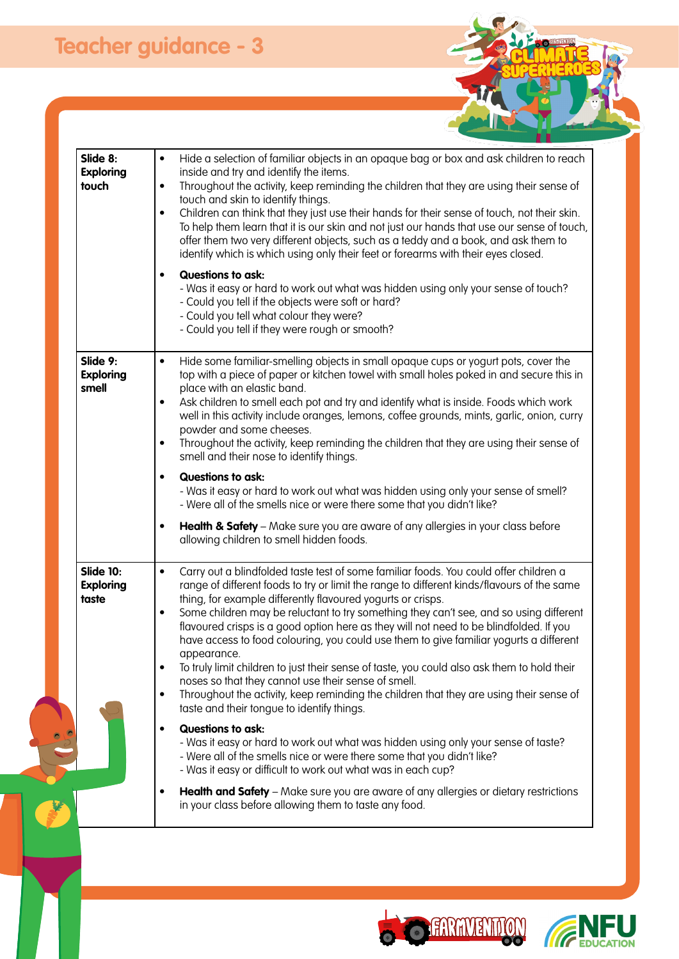1

| Hide a selection of familiar objects in an opaque bag or box and ask children to reach<br>inside and try and identify the items.<br>Throughout the activity, keep reminding the children that they are using their sense of<br>touch and skin to identify things.<br>Children can think that they just use their hands for their sense of touch, not their skin.<br>To help them learn that it is our skin and not just our hands that use our sense of touch,<br>offer them two very different objects, such as a teddy and a book, and ask them to<br>identify which is which using only their feet or forearms with their eyes closed.<br><b>Questions to ask:</b><br>- Was it easy or hard to work out what was hidden using only your sense of touch?<br>- Could you tell if the objects were soft or hard?<br>- Could you tell what colour they were?<br>- Could you tell if they were rough or smooth?                                                                                                                                                                                                                                                                                                                                                     |
|-------------------------------------------------------------------------------------------------------------------------------------------------------------------------------------------------------------------------------------------------------------------------------------------------------------------------------------------------------------------------------------------------------------------------------------------------------------------------------------------------------------------------------------------------------------------------------------------------------------------------------------------------------------------------------------------------------------------------------------------------------------------------------------------------------------------------------------------------------------------------------------------------------------------------------------------------------------------------------------------------------------------------------------------------------------------------------------------------------------------------------------------------------------------------------------------------------------------------------------------------------------------|
| Hide some familiar-smelling objects in small opaque cups or yogurt pots, cover the<br>top with a piece of paper or kitchen towel with small holes poked in and secure this in<br>place with an elastic band.<br>Ask children to smell each pot and try and identify what is inside. Foods which work<br>well in this activity include oranges, lemons, coffee grounds, mints, garlic, onion, curry<br>powder and some cheeses.<br>Throughout the activity, keep reminding the children that they are using their sense of<br>smell and their nose to identify things.<br><b>Questions to ask:</b><br>- Was it easy or hard to work out what was hidden using only your sense of smell?<br>- Were all of the smells nice or were there some that you didn't like?<br>Health & Safety - Make sure you are aware of any allergies in your class before<br>allowing children to smell hidden foods.                                                                                                                                                                                                                                                                                                                                                                   |
| Carry out a blindfolded taste test of some familiar foods. You could offer children a<br>range of different foods to try or limit the range to different kinds/flavours of the same<br>thing, for example differently flavoured yogurts or crisps.<br>Some children may be reluctant to try something they can't see, and so using different<br>flavoured crisps is a good option here as they will not need to be blindfolded. If you<br>have access to food colouring, you could use them to give familiar yogurts a different<br>appearance.<br>To truly limit children to just their sense of taste, you could also ask them to hold their<br>noses so that they cannot use their sense of smell.<br>Throughout the activity, keep reminding the children that they are using their sense of<br>taste and their tongue to identify things.<br><b>Questions to ask:</b><br>- Was it easy or hard to work out what was hidden using only your sense of taste?<br>- Were all of the smells nice or were there some that you didn't like?<br>- Was it easy or difficult to work out what was in each cup?<br><b>Health and Safety</b> – Make sure you are aware of any allergies or dietary restrictions<br>in your class before allowing them to taste any food. |
| $\bullet$<br>$\bullet$<br>$\bullet$<br>$\bullet$<br>$\bullet$<br>$\bullet$<br>$\bullet$<br>$\bullet$<br>$\bullet$<br>$\bullet$<br>$\bullet$<br>٠<br>$\bullet$<br>$\bullet$<br>٠                                                                                                                                                                                                                                                                                                                                                                                                                                                                                                                                                                                                                                                                                                                                                                                                                                                                                                                                                                                                                                                                                   |





Frommu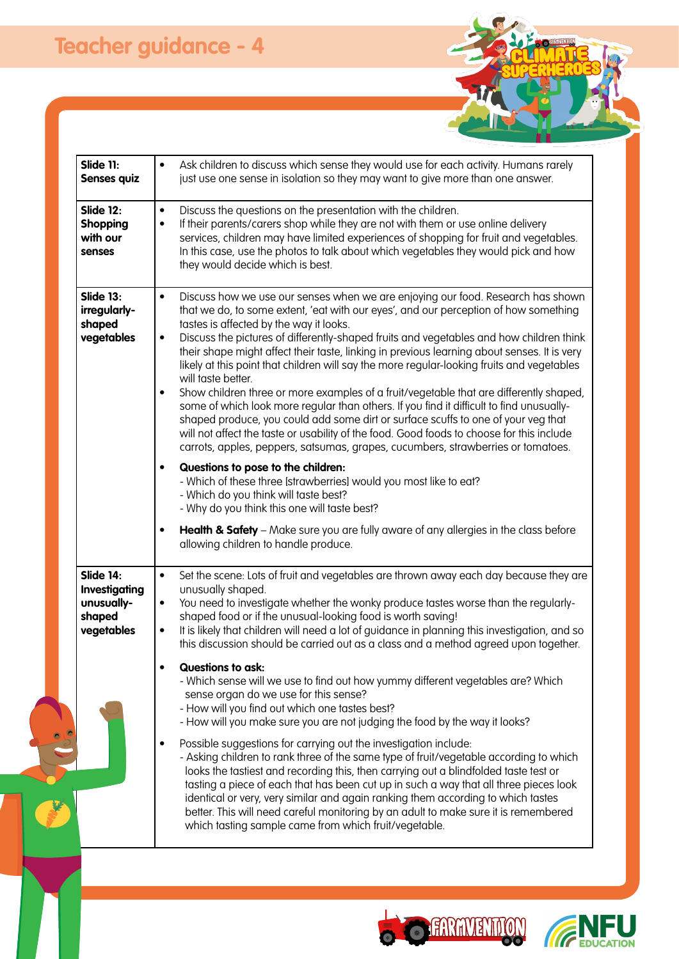F

| <b>Slide 11:</b><br>Senses quiz                                  | Ask children to discuss which sense they would use for each activity. Humans rarely<br>$\bullet$<br>just use one sense in isolation so they may want to give more than one answer.                                                                                                                                                                                                                                                                                                                                                                                                                                                                                                                                                                                                                                                                                                                                                                                                                                                                                                                                                                                                                                                                                                                                                                                                                |
|------------------------------------------------------------------|---------------------------------------------------------------------------------------------------------------------------------------------------------------------------------------------------------------------------------------------------------------------------------------------------------------------------------------------------------------------------------------------------------------------------------------------------------------------------------------------------------------------------------------------------------------------------------------------------------------------------------------------------------------------------------------------------------------------------------------------------------------------------------------------------------------------------------------------------------------------------------------------------------------------------------------------------------------------------------------------------------------------------------------------------------------------------------------------------------------------------------------------------------------------------------------------------------------------------------------------------------------------------------------------------------------------------------------------------------------------------------------------------|
| <b>Slide 12:</b><br>Shopping<br>with our<br>senses               | Discuss the questions on the presentation with the children.<br>$\bullet$<br>If their parents/carers shop while they are not with them or use online delivery<br>$\bullet$<br>services, children may have limited experiences of shopping for fruit and vegetables.<br>In this case, use the photos to talk about which vegetables they would pick and how<br>they would decide which is best.                                                                                                                                                                                                                                                                                                                                                                                                                                                                                                                                                                                                                                                                                                                                                                                                                                                                                                                                                                                                    |
| Slide 13:<br>irregularly-<br>shaped<br>vegetables                | Discuss how we use our senses when we are enjoying our food. Research has shown<br>$\bullet$<br>that we do, to some extent, 'eat with our eyes', and our perception of how something<br>tastes is affected by the way it looks.<br>Discuss the pictures of differently-shaped fruits and vegetables and how children think<br>$\bullet$<br>their shape might affect their taste, linking in previous learning about senses. It is very<br>likely at this point that children will say the more regular-looking fruits and vegetables<br>will taste better.<br>Show children three or more examples of a fruit/vegetable that are differently shaped,<br>$\bullet$<br>some of which look more regular than others. If you find it difficult to find unusually-<br>shaped produce, you could add some dirt or surface scuffs to one of your veg that<br>will not affect the taste or usability of the food. Good foods to choose for this include<br>carrots, apples, peppers, satsumas, grapes, cucumbers, strawberries or tomatoes.<br>Questions to pose to the children:<br>$\bullet$<br>- Which of these three [strawberries] would you most like to eat?<br>- Which do you think will taste best?<br>- Why do you think this one will taste best?<br>Health & Safety - Make sure you are fully aware of any allergies in the class before<br>$\bullet$<br>allowing children to handle produce. |
| Slide 14:<br>Investigating<br>unusually-<br>shaped<br>vegetables | Set the scene: Lots of fruit and vegetables are thrown away each day because they are<br>$\bullet$<br>unusually shaped.<br>You need to investigate whether the wonky produce tastes worse than the regularly-<br>$\bullet$<br>shaped food or if the unusual-looking food is worth saving!<br>It is likely that children will need a lot of guidance in planning this investigation, and so<br>$\bullet$<br>this discussion should be carried out as a class and a method agreed upon together.<br><b>Questions to ask:</b><br>- Which sense will we use to find out how yummy different vegetables are? Which<br>sense organ do we use for this sense?<br>- How will you find out which one tastes best?<br>- How will you make sure you are not judging the food by the way it looks?<br>Possible suggestions for carrying out the investigation include:<br>- Asking children to rank three of the same type of fruit/vegetable according to which<br>looks the tastiest and recording this, then carrying out a blindfolded taste test or<br>tasting a piece of each that has been cut up in such a way that all three pieces look<br>identical or very, very similar and again ranking them according to which tastes<br>better. This will need careful monitoring by an adult to make sure it is remembered<br>which tasting sample came from which fruit/vegetable.                         |





Frommu